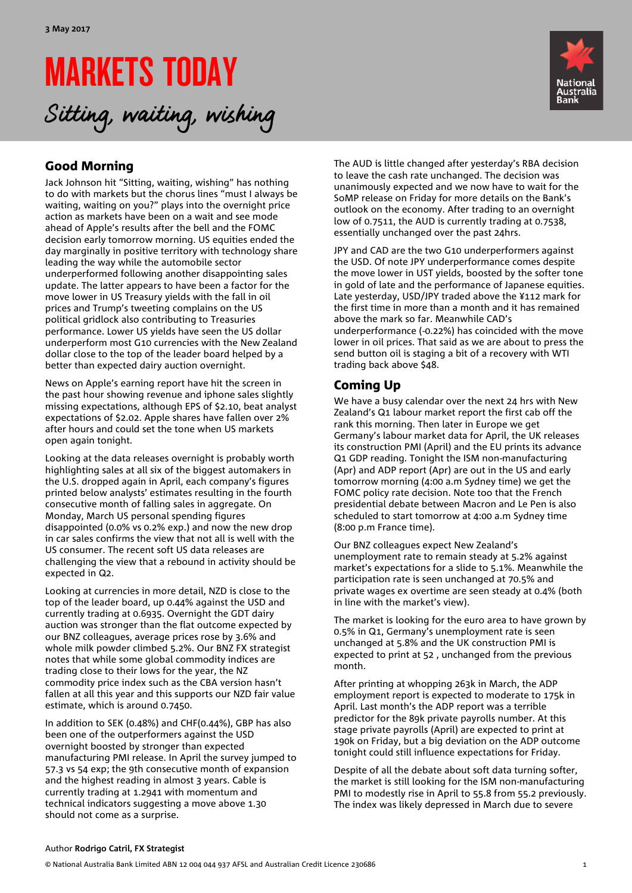# MARKETS TODAY Sitting, waiting, wishing



# Good Morning

Jack Johnson hit "Sitting, waiting, wishing" has nothing to do with markets but the chorus lines "must I always be waiting, waiting on you?" plays into the overnight price action as markets have been on a wait and see mode ahead of Apple's results after the bell and the FOMC decision early tomorrow morning. US equities ended the day marginally in positive territory with technology share leading the way while the automobile sector underperformed following another disappointing sales update. The latter appears to have been a factor for the move lower in US Treasury yields with the fall in oil prices and Trump's tweeting complains on the US political gridlock also contributing to Treasuries performance. Lower US yields have seen the US dollar underperform most G10 currencies with the New Zealand dollar close to the top of the leader board helped by a better than expected dairy auction overnight.

News on Apple's earning report have hit the screen in the past hour showing revenue and iphone sales slightly missing expectations, although EPS of \$2.10, beat analyst expectations of \$2.02. Apple shares have fallen over 2% after hours and could set the tone when US markets open again tonight.

Looking at the data releases overnight is probably worth highlighting sales at all six of the biggest automakers in the U.S. dropped again in April, each company's figures printed below analysts' estimates resulting in the fourth consecutive month of falling sales in aggregate. On Monday, March US personal spending figures disappointed (0.0% vs 0.2% exp.) and now the new drop in car sales confirms the view that not all is well with the US consumer. The recent soft US data releases are challenging the view that a rebound in activity should be expected in Q2.

Looking at currencies in more detail, NZD is close to the top of the leader board, up 0.44% against the USD and currently trading at 0.6935. Overnight the GDT dairy auction was stronger than the flat outcome expected by our BNZ colleagues, average prices rose by 3.6% and whole milk powder climbed 5.2%. Our BNZ FX strategist notes that while some global commodity indices are trading close to their lows for the year, the NZ commodity price index such as the CBA version hasn't fallen at all this year and this supports our NZD fair value estimate, which is around 0.7450.

In addition to SEK (0.48%) and CHF(0.44%), GBP has also been one of the outperformers against the USD overnight boosted by stronger than expected manufacturing PMI release. In April the survey jumped to 57.3 vs 54 exp; the 9th consecutive month of expansion and the highest reading in almost 3 years. Cable is currently trading at 1.2941 with momentum and technical indicators suggesting a move above 1.30 should not come as a surprise.

The AUD is little changed after yesterday's RBA decision to leave the cash rate unchanged. The decision was unanimously expected and we now have to wait for the SoMP release on Friday for more details on the Bank's outlook on the economy. After trading to an overnight low of 0.7511, the AUD is currently trading at 0.7538, essentially unchanged over the past 24hrs.

JPY and CAD are the two G10 underperformers against the USD. Of note JPY underperformance comes despite the move lower in UST yields, boosted by the softer tone in gold of late and the performance of Japanese equities. Late yesterday, USD/JPY traded above the ¥112 mark for the first time in more than a month and it has remained above the mark so far. Meanwhile CAD's underperformance (-0.22%) has coincided with the move lower in oil prices. That said as we are about to press the send button oil is staging a bit of a recovery with WTI trading back above \$48.

# Coming Up

We have a busy calendar over the next 24 hrs with New Zealand's Q1 labour market report the first cab off the rank this morning. Then later in Europe we get Germany's labour market data for April, the UK releases its construction PMI (April) and the EU prints its advance Q1 GDP reading. Tonight the ISM non-manufacturing (Apr) and ADP report (Apr) are out in the US and early tomorrow morning (4:00 a.m Sydney time) we get the FOMC policy rate decision. Note too that the French presidential debate between Macron and Le Pen is also scheduled to start tomorrow at 4:00 a.m Sydney time (8:00 p.m France time).

Our BNZ colleagues expect New Zealand's unemployment rate to remain steady at 5.2% against market's expectations for a slide to 5.1%. Meanwhile the participation rate is seen unchanged at 70.5% and private wages ex overtime are seen steady at 0.4% (both in line with the market's view).

The market is looking for the euro area to have grown by 0.5% in Q1, Germany's unemployment rate is seen unchanged at 5.8% and the UK construction PMI is expected to print at 52 , unchanged from the previous month.

After printing at whopping 263k in March, the ADP employment report is expected to moderate to 175k in April. Last month's the ADP report was a terrible predictor for the 89k private payrolls number. At this stage private payrolls (April) are expected to print at 190k on Friday, but a big deviation on the ADP outcome tonight could still influence expectations for Friday.

Despite of all the debate about soft data turning softer, the market is still looking for the ISM non-manufacturing PMI to modestly rise in April to 55.8 from 55.2 previously. The index was likely depressed in March due to severe

#### Author **Rodrigo Catril, FX Strategist**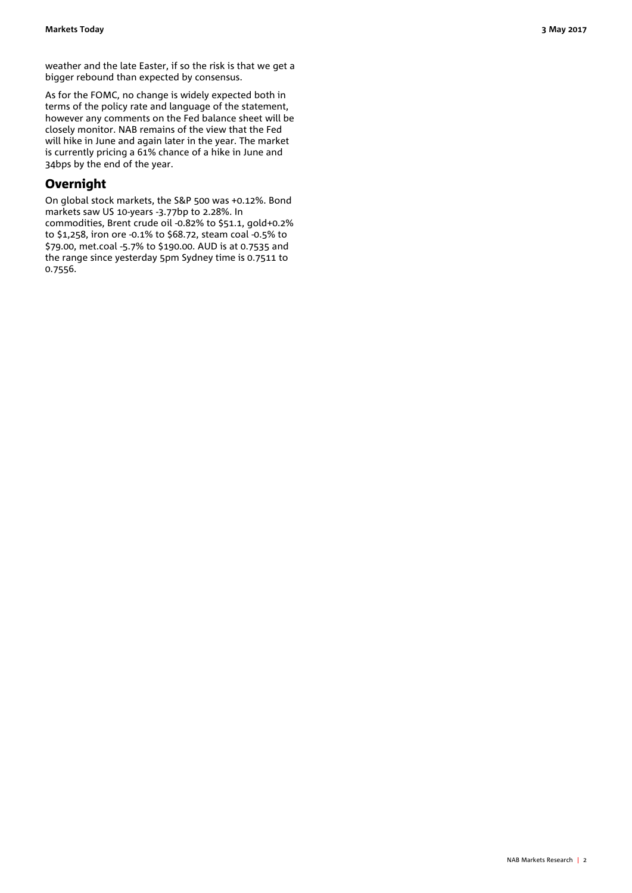As for the FOMC, no change is widely expected both in terms of the policy rate and language of the statement, however any comments on the Fed balance sheet will be closely monitor. NAB remains of the view that the Fed will hike in June and again later in the year. The market is currently pricing a 61% chance of a hike in June and 34bps by the end of the year.

## **Overnight**

On global stock markets, the S&P 500 was +0.12%. Bond markets saw US 10-years -3.77bp to 2.28%. In commodities, Brent crude oil -0.82% to \$51.1, gold+0.2% to \$1,258, iron ore -0.1% to \$68.72, steam coal -0.5% to \$79.00, met.coal -5.7% to \$190.00. AUD is at 0.7535 and the range since yesterday 5pm Sydney time is 0.7511 to 0.7556.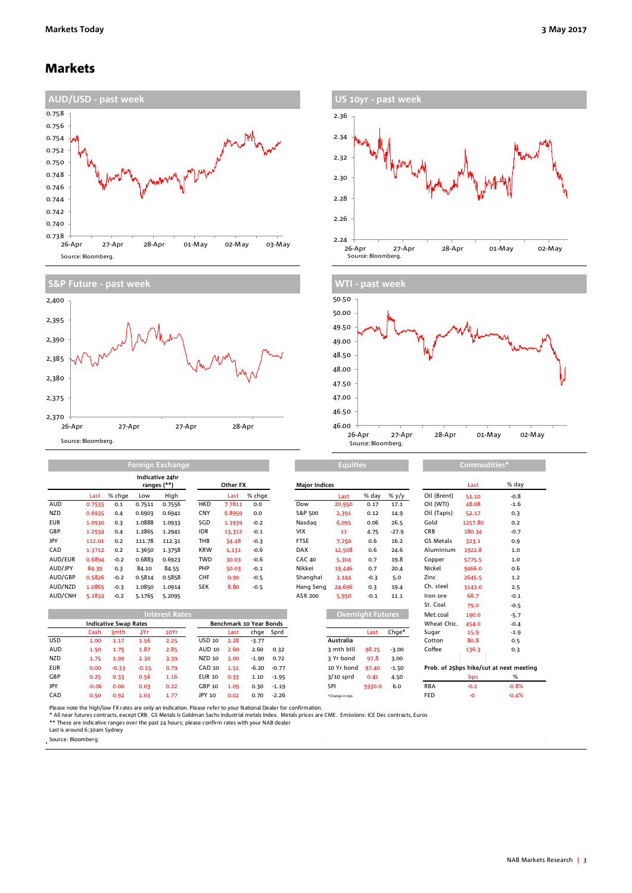### Markets





| US 10yr - past week                                                  |
|----------------------------------------------------------------------|
| 2.36                                                                 |
| 2.34                                                                 |
| 2.32                                                                 |
| 2.30                                                                 |
| 2.28                                                                 |
| 2.26                                                                 |
| 2.24                                                                 |
| 26-Apr<br>28-Apr<br>27-Apr<br>01-May<br>02-May<br>Source: Bloomberg. |



|            | Indicative 24hr<br>ranges (**) |        |        |        | <b>Other FX</b> |        |        | <b>Major Indices</b> |        |        |          | Last        | % da    |        |
|------------|--------------------------------|--------|--------|--------|-----------------|--------|--------|----------------------|--------|--------|----------|-------------|---------|--------|
|            | Last                           | % chge | Low    | High   |                 | Last   | % chge |                      | Last   | % day  | $\%$ y/y | Oil (Brent) | 51.10   | $-0.8$ |
| AUD        | 0.7535                         | 0.1    | 0.7511 | 0.7556 | <b>HKD</b>      | 7.7811 | 0.0    | Dow                  | 20,950 | 0.17   | 17.1     | Oil (WTI)   | 48.08   | $-1.6$ |
| <b>NZD</b> | 0.6935                         | 0.4    | 0.6903 | 0.6941 | <b>CNY</b>      | 6.8959 | 0.0    | S&P 500              | 2,391  | 0.12   | 14.9     | Oil (Tapis) | 52.17   | 0.3    |
| <b>EUR</b> | 1.0930                         | 0.3    | 1.0888 | 1.0933 | SGD             | 1.3939 | $-0.2$ | Nasdag               | 6,095  | 0.06   | 26.5     | Gold        | 1257.80 | 0.2    |
| GBP        | 1.2934                         | 0.4    | 1.2865 | 1.2941 | <b>IDR</b>      | 13,312 | $-0.1$ | <b>VIX</b>           | 11     | 4.75   | $-27.9$  | <b>CRB</b>  | 180.34  | $-0.7$ |
| JPY        | 112.01                         | 0.2    | 111.78 | 112.31 | THB             | 34.48  | $-0.3$ | <b>FTSE</b>          | 7,250  | 0.6    | 16.2     | GS Metals   | 323.1   | 0.9    |
| CAD        | 1.3712                         | 0.2    | 1.3650 | 1.3758 | <b>KRW</b>      | 1,131  | $-0.6$ | <b>DAX</b>           | 12,508 | 0.6    | 24.6     | Aluminium   | 1922.8  | 1.0    |
| AUD/EUR    | 0.6894                         | $-0.2$ | 0.6883 | 0.6923 | <b>TWD</b>      | 30.03  | $-0.6$ | <b>CAC 40</b>        | 5,304  | 0.7    | 19.8     | Copper      | 5775.5  | 1.0    |
| AUD/JPY    | 84.39                          | 0.3    | 84.10  | 84.55  | PHP             | 50.03  | $-0.1$ | Nikkei               | 19,446 | 0.7    | 20.4     | Nickel      | 9466.0  | 0.6    |
| AUD/GBP    | 0.5826                         | $-0.2$ | 0.5814 | 0.5858 | CHF             | 0.99   | $-0.5$ | Shanghai             | 3.144  | $-0.3$ | 5.0      | Zinc        | 2645.5  | 1.2    |
| AUD/NZD    | 1.0865                         | $-0.3$ | 1.0850 | 1.0914 | <b>SEK</b>      | 8.80   | $-0.5$ | Hang Seng            | 24,696 | 0.3    | 19.4     | Ch. steel   | 3143.0  | 2.5    |
| AUD/CNH    | 5.1834                         | $-0.2$ | 5.1765 | 5.2095 |                 |        |        | ASX 200              | 5,950  | $-0.1$ | 11.1     | Iron ore    | 68.7    | $-0.1$ |

**Foreign Exchange**

| <b>Interest Rates</b> |                              |                  |         |      |               |                         |         |           |                | Overnight Futures, |         | Met.coal    | 190.0  | $-5.7$                                  |
|-----------------------|------------------------------|------------------|---------|------|---------------|-------------------------|---------|-----------|----------------|--------------------|---------|-------------|--------|-----------------------------------------|
|                       | <b>Indicative Swap Rates</b> |                  |         |      |               | Benchmark 10 Year Bonds |         |           |                |                    |         | Wheat Chic. | 454.0  | $-0.4$                                  |
|                       | Cash                         | 3 <sub>mth</sub> | 2Yr     | 10Yr |               | Last                    |         | chge Sprd |                | Last               | Chge*   | Sugar       | 15.9   | $-1.9$                                  |
| <b>USD</b>            | 1.00                         | 1.17             | 1.56    | 2.25 | USD 10        | 2.28                    | $-3.77$ |           | Australia      |                    |         | Cotton      | 80.8   | 0.5                                     |
| AUD                   | 1.50                         | 1.75             | 1.87    | 2.85 | AUD 10        | 2.60                    | 2.60    | 0.32      | 3 mth bill     | 98.25              | $-3.00$ | Coffee      | 136.3  | 0.3                                     |
| <b>NZD</b>            | 1.75                         | 1.99             | 2.30    | 3.39 | NZD 10        | 3.00                    | $-1.90$ | 0.72      | २ Yr bond      | 97.8               | 3.00    |             |        |                                         |
| <b>EUR</b>            | 0.00                         | $-0.33$          | $-0.15$ | 0.79 | CAD 10        | 1.51                    | $-6.20$ | $-0.77$   | 10 Yr bond     | 97.40              | $-1.50$ |             |        | Prob. of 25bps hike/cut at next meeting |
| GBP                   | 0.25                         | 0.33             | 0.56    | 1.16 | <b>EUR 10</b> | 0.33                    | 1.10    | $-1.95$   | $3/10$ sprd    | 0.41               | 4.50    |             | bps    | %                                       |
| <b>JPY</b>            | $-0.06$                      | 0.00             | 0.03    | 0.22 | GBP 10        | 1.09                    | 0.30    | $-1.19$   | SPI            | 5930.0             | 6.0     | <b>RBA</b>  | $-0.2$ | $-0.8%$                                 |
| CAD                   | 0.50                         | 0.92             | 1.03    | 1.77 | JPY 10        | 0.02                    | 0.70    | $-2.26$   | *Change in bps |                    |         | <b>FED</b>  | -0     | $-0.4%$                                 |

| <b>Major Indices</b> |                |                          |         |  |                                    | Last    | % day   |
|----------------------|----------------|--------------------------|---------|--|------------------------------------|---------|---------|
|                      | Last           | % day                    | % y/y   |  | Oil (Brent)                        | 51.10   | $-0.8$  |
| Dow                  | 20,950         | 0.17                     | 17.1    |  | Oil (WTI)                          | 48.08   | $-1.6$  |
| S&P 500              | 2,391          | 0.12                     | 14.9    |  | Oil (Tapis)                        | 52.17   | 0.3     |
| Nasdag               | 6,095          | 0.06                     | 26.5    |  | Gold                               | 1257.80 | 0.2     |
| <b>VIX</b>           | 11             | 4.75                     | $-27.9$ |  | <b>CRB</b>                         | 180.34  | $-0.7$  |
| <b>FTSE</b>          | 7,250          | 0.6                      | 16.2    |  | GS Metals                          | 323.1   | 0.9     |
| <b>DAX</b>           | 12,508         | 0.6                      | 24.6    |  | Aluminium                          | 1922.8  | 1.0     |
| <b>CAC 40</b>        | 5.304          | 0.7                      | 19.8    |  | Copper                             | 5775.5  | 1.0     |
| Nikkei               | 19,446         | 0.7                      | 20.4    |  | Nickel                             | 9466.0  | 0.6     |
| Shanghai             | 3.144          | $-0.3$                   | 5.0     |  | Zinc                               | 2645.5  | 1.2     |
| Hang Seng            | 24,696         | 0.3                      | 19.4    |  | Ch. steel                          | 3143.0  | 2.5     |
| ASX 200              | 5.950          | $-0.1$                   | 11.1    |  | Iron ore                           | 68.7    | $-0.1$  |
|                      |                |                          |         |  | St. Coal                           | 79.0    | $-0.5$  |
|                      |                | <b>Overnight Futures</b> |         |  | Met.coal                           | 190.0   | $-5.7$  |
|                      |                |                          |         |  | Wheat Chic.                        | 454.0   | $-0.4$  |
|                      |                | Last                     | Chge*   |  | Sugar                              | 15.9    | $-1.9$  |
|                      | Australia      |                          |         |  | Cotton                             | 80.8    | 0.5     |
|                      | 3 mth bill     | 98.25                    | $-3.00$ |  | Coffee                             | 136.3   | 0.3     |
|                      | 3 Yr bond      | 97.8                     | 3.00    |  |                                    |         |         |
|                      | 10 Yr bond     | 97.40                    | $-1.50$ |  | Prob. of 25bps hike/cut at next me |         |         |
|                      | $3/10$ sprd    | 0.41                     | 4.50    |  |                                    | bps     | %       |
|                      | SPI            | 5930.0                   | 6.0     |  | <b>RBA</b>                         | $-0.2$  | $-0.8%$ |
|                      | *Change in bps |                          |         |  | FED                                | -0      | $-0.4%$ |
|                      |                |                          |         |  |                                    |         |         |

Please note the high/low FX rates are only an indication. Please refer to your National Dealer for confirmation.<br>\* All near futures contracts, except CRB. GS Metals is Goldman Sachs indest intedab index. Metals prices are

Last is around 6:30am Sydney

. Source: Bloomberg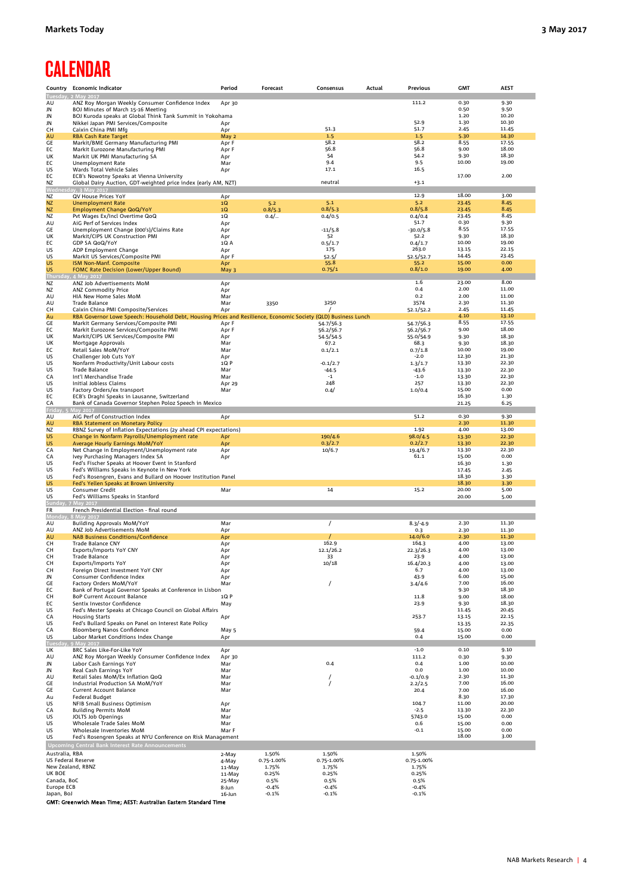# **CALENDAR**

|                             | Country Economic Indicator                                                                                                                            | Period           | Forecast          | Consensus           | Actual | <b>Previous</b>    | <b>GMT</b>     | <b>AEST</b>    |
|-----------------------------|-------------------------------------------------------------------------------------------------------------------------------------------------------|------------------|-------------------|---------------------|--------|--------------------|----------------|----------------|
| Tuesday                     |                                                                                                                                                       |                  |                   |                     |        | 111.2              | 0.30           | 9.30           |
| AU<br>JN                    | ANZ Roy Morgan Weekly Consumer Confidence Index<br>BOJ Minutes of March 15-16 Meeting                                                                 | Apr 30           |                   |                     |        |                    | 0.50           | 9.50           |
| JN                          | BOJ Kuroda speaks at Global Think Tank Summit in Yokohama                                                                                             |                  |                   |                     |        |                    | 1.20           | 10.20          |
| JN                          | Nikkei Japan PMI Services/Composite                                                                                                                   | Apr              |                   |                     |        | 52.9               | 1.30           | 10.30          |
| CH<br>AU                    | Caixin China PMI Mfg<br><b>RBA Cash Rate Target</b>                                                                                                   | Apr<br>May 2     |                   | 51.3<br>1.5         |        | 51.7<br>$1.5$      | 2.45<br>5.30   | 11.45<br>14.30 |
| GE                          | Markit/BME Germany Manufacturing PMI                                                                                                                  | Apr F            |                   | 58.2                |        | 58.2               | 8.55           | 17.55          |
| EC                          | Markit Eurozone Manufacturing PMI                                                                                                                     | Apr F            |                   | 56.8                |        | 56.8               | 9.00           | 18.00          |
| UK<br>EC                    | Markit UK PMI Manufacturing SA<br>Unemployment Rate                                                                                                   | Apr<br>Mar       |                   | 54<br>9.4           |        | 54.2<br>9.5        | 9.30<br>10.00  | 18.30<br>19.00 |
| US                          | Wards Total Vehicle Sales                                                                                                                             | Apr              |                   | 17.1                |        | 16.5               |                |                |
| EC                          | ECB's Nowotny Speaks at Vienna University                                                                                                             |                  |                   |                     |        |                    | 17.00          | 2.00           |
| <b>NZ</b>                   | Global Dairy Auction, GDT-weighted price index (early AM, NZT)<br>Wednesday, 3 May 201                                                                |                  |                   | neutral             |        | $+3.1$             |                |                |
| NZ                          | QV House Prices YoY                                                                                                                                   | Apr              |                   |                     |        | 12.9               | 18.00          | 3.00           |
| <b>NZ</b>                   | <b>Unemployment Rate</b>                                                                                                                              | 1Q               | 5.2               | 5.1                 |        | 5.2                | 23.45          | 8.45           |
| <b>NZ</b><br>NZ             | Employment Change QoQ/YoY<br>Pvt Wages Ex/Incl Overtime QoQ                                                                                           | 1Q<br>1Q         | 0.8/5.3<br>$0.4/$ | 0.8/5.3<br>0.4/0.5  |        | 0.8/5.8<br>0.4/0.4 | 23.45<br>23.45 | 8.45<br>8.45   |
| AU                          | AiG Perf of Services Index                                                                                                                            | Apr              |                   |                     |        | 51.7               | 0.30           | 9.30           |
| GE                          | Unemployment Change (000's)/Claims Rate                                                                                                               | Apr              |                   | $-11/5.8$           |        | $-30.0/5.8$        | 8.55           | 17.55          |
| UK<br>EC                    | Markit/CIPS UK Construction PMI<br>GDP SA QoQ/YoY                                                                                                     | Apr<br>1Q A      |                   | 52<br>0.5/1.7       |        | 52.2<br>0.4/1.7    | 9.30<br>10.00  | 18.30<br>19.00 |
| US                          | ADP Employment Change                                                                                                                                 | Apr              |                   | 175                 |        | 263.0              | 13.15          | 22.15          |
| US                          | Markit US Services/Composite PMI                                                                                                                      | Apr F            |                   | 52.5/               |        | 52.5/52.7          | 14.45          | 23.45          |
| <b>US</b><br><b>US</b>      | ISM Non-Manf. Composite<br><b>FOMC Rate Decision (Lower/Upper Bound)</b>                                                                              | Apr<br>May 3     |                   | 55.8<br>0.75/1      |        | 55.2<br>0.8/1.0    | 15.00<br>19.00 | 0.00<br>4.00   |
|                             | Thursday, 4 May 2017                                                                                                                                  |                  |                   |                     |        |                    |                |                |
| ΝZ                          | ANZ Job Advertisements MoM                                                                                                                            | Apr              |                   |                     |        | 1.6<br>0.4         | 23.00<br>2.00  | 8.00<br>11.00  |
| NZ<br>AU                    | <b>ANZ Commodity Price</b><br>HIA New Home Sales MoM                                                                                                  | Apr<br>Mar       |                   |                     |        | 0.2                | 2.00           | 11.00          |
| AU                          | <b>Trade Balance</b>                                                                                                                                  | Mar              | 3350              | 3250                |        | 3574               | 2.30           | 11.30          |
| CН<br>Au                    | Caixin China PMI Composite/Services<br>RBA Governor Lowe Speech: Household Debt, Housing Prices and Resilience, Economic Society (QLD) Business Lunch | Apr              |                   |                     |        | 52.1/52.2          | 2.45<br>4.10   | 11.45<br>13.10 |
| GE                          | Markit Germany Services/Composite PMI                                                                                                                 | Apr F            |                   | 54.7/56.3           |        | 54.7/56.3          | 8.55           | 17.55          |
| EC                          | Markit Eurozone Services/Composite PMI                                                                                                                | Apr F            |                   | 56.2/56.7           |        | 56.2/56.7          | 9.00           | 18.00          |
| UK<br>UK                    | Markit/CIPS UK Services/Composite PMI<br>Mortgage Approvals                                                                                           | Apr<br>Mar       |                   | 54.5/54.5<br>67.2   |        | 55.0/54.9<br>68.3  | 9.30<br>9.30   | 18.30<br>18.30 |
| EC                          | Retail Sales MoM/YoY                                                                                                                                  | Mar              |                   | 0.1/2.1             |        | 0.7/1.8            | 10.00          | 19.00          |
| US                          | Challenger Job Cuts YoY                                                                                                                               | Apr              |                   |                     |        | $-2.0$             | 12.30          | 21.30          |
| US<br>US                    | Nonfarm Productivity/Unit Labour costs<br><b>Trade Balance</b>                                                                                        | 1QP<br>Mar       |                   | $-0.1/2.7$<br>-44.5 |        | 1.3/1.7<br>$-43.6$ | 13.30<br>13.30 | 22.30<br>22.30 |
| CA                          | Int'l Merchandise Trade                                                                                                                               | Mar              |                   | $-1$                |        | $-1.0$             | 13.30          | 22.30          |
| US                          | Initial Jobless Claims                                                                                                                                | Apr 29           |                   | 248                 |        | 257                | 13.30          | 22.30          |
| US<br>EC                    | Factory Orders/ex transport<br>ECB's Draghi Speaks in Lausanne, Switzerland                                                                           | Mar              |                   | 0.4/                |        | 1.0/0.4            | 15.00<br>16.30 | 0.00<br>1.30   |
| CA                          | Bank of Canada Governor Stephen Poloz Speech in Mexico                                                                                                |                  |                   |                     |        |                    | 21.25          | 6.25           |
| Friday,<br>AU               | May 2011<br>AiG Perf of Construction Index                                                                                                            | Apr              |                   |                     |        | 51.2               | 0.30           | 9.30           |
| AU                          | <b>RBA Statement on Monetary Policy</b>                                                                                                               |                  |                   |                     |        |                    | 2.30           | 11.30          |
| <b>NZ</b><br>US             | RBNZ Survey of Inflation Expectations (2y ahead CPI expectations)<br>Change in Nonfarm Payrolls/Unemployment rate                                     |                  |                   | 190/4.6             |        | 1.92<br>98.0/4.5   | 4.00<br>13.30  | 13.00<br>22.30 |
| <b>US</b>                   | Average Hourly Earnings MoM/YoY                                                                                                                       | Apr<br>Apr       |                   | 0.3/2.7             |        | 0.2/2.7            | 13.30          | 22.30          |
| CA                          | Net Change in Employment/Unemployment rate                                                                                                            | Apr              |                   | 10/6.7              |        | 19.4/6.7           | 13.30          | 22.30          |
| CA<br>US                    | Ivey Purchasing Managers Index SA<br>Fed's Fischer Speaks at Hoover Event in Stanford                                                                 | Apr              |                   |                     |        | 61.1               | 15.00<br>16.30 | 0.00<br>1.30   |
| US                          | Fed's Williams Speaks in Keynote in New York                                                                                                          |                  |                   |                     |        |                    | 17.45          | 2.45           |
| US                          | Fed's Rosengren, Evans and Bullard on Hoover Institution Panel                                                                                        |                  |                   |                     |        |                    | 18.30          | 3.30           |
| US<br>US                    | Fed's Yellen Speaks at Brown University<br>Consumer Credit                                                                                            | Mar              |                   | 14                  |        | 15.2               | 18.30<br>20.00 | 3.30<br>5.00   |
| US                          | Fed's Williams Speaks in Stanford                                                                                                                     |                  |                   |                     |        |                    | 20.00          | 5.00           |
| Sunday<br>FR                | <b>May 2017</b><br>French Presidential Election - final round                                                                                         |                  |                   |                     |        |                    |                |                |
| Monda                       |                                                                                                                                                       |                  |                   |                     |        |                    |                |                |
| AU<br>AU                    | <b>Building Approvals MoM/YoY</b><br>ANZ Job Advertisements MoM                                                                                       | Mar<br>Apr       |                   | $\prime$            |        | $8.3/-4.9$<br>0.3  | 2.30<br>2.30   | 11.30<br>11.30 |
| AU                          | <b>NAB Business Conditions/Confidence</b>                                                                                                             | Apr              |                   |                     |        | 14.0/6.0           | 2.30           | 11.30          |
| CН                          | Trade Balance CNY                                                                                                                                     | Apr              |                   | 162.9               |        | 164.3              | 4.00           | 13.00          |
| CН<br>CН                    | Exports/Imports YoY CNY<br>Trade Balance                                                                                                              | Apr<br>Apr       |                   | 12.1/26.2<br>33     |        | 22.3/26.3<br>23.9  | 4.00<br>4.00   | 13.00<br>13.00 |
| CH                          | Exports/Imports YoY                                                                                                                                   | Apr              |                   | 10/18               |        | 16.4/20.3          | 4.00           | 13.00          |
| CH<br>JN                    | Foreign Direct Investment YoY CNY                                                                                                                     | Apr              |                   |                     |        | 6.7                | 4.00<br>6.00   | 13.00          |
| GE                          | Consumer Confidence Index<br>Factory Orders MoM/YoY                                                                                                   | Apr<br>Mar       |                   |                     |        | 43.9<br>3.4/4.6    | 7.00           | 15.00<br>16.00 |
| EC                          | Bank of Portugal Governor Speaks at Conference in Lisbon                                                                                              |                  |                   |                     |        |                    | 9.30           | 18.30          |
| CH<br>EC                    | <b>BoP Current Account Balance</b><br>Sentix Investor Confidence                                                                                      | 1Q P<br>May      |                   |                     |        | 11.8<br>23.9       | 9.00<br>9.30   | 18.00<br>18.30 |
| US                          | Fed's Mester Speaks at Chicago Council on Global Affairs                                                                                              |                  |                   |                     |        |                    | 11.45          | 20.45          |
| CA<br>US                    | <b>Housing Starts</b><br>Fed's Bullard Speaks on Panel on Interest Rate Policy                                                                        | Apr              |                   |                     |        | 253.7              | 13.15<br>13.35 | 22.15<br>22.35 |
| CA                          | Bloomberg Nanos Confidence                                                                                                                            | May 5            |                   |                     |        | 59.4               | 15.00          | 0.00           |
| US                          | Labor Market Conditions Index Change                                                                                                                  | Apr              |                   |                     |        | 0.4                | 15.00          | 0.00           |
| ππ<br>UK                    | BRC Sales Like-For-Like YoY                                                                                                                           | Apr              |                   |                     |        | $-1.0$             | 0.10           | 9.10           |
| AU                          | ANZ Roy Morgan Weekly Consumer Confidence Index                                                                                                       | Apr 30           |                   |                     |        | 111.2              | 0.30           | 9.30           |
| JN<br>JN                    | Labor Cash Earnings YoY<br>Real Cash Earnings YoY                                                                                                     | Mar<br>Mar       |                   | 0.4                 |        | 0.4<br>0.0         | 1.00<br>1.00   | 10.00<br>10.00 |
| AU                          | Retail Sales MoM/Ex Inflation QoQ                                                                                                                     | Mar              |                   |                     |        | $-0.1/0.9$         | 2.30           | 11.30          |
| GE                          | Industrial Production SA MoM/YoY                                                                                                                      | Mar              |                   |                     |        | 2.2/2.5            | 7.00           | 16.00          |
| GE<br>Au                    | Current Account Balance<br>Federal Budget                                                                                                             | Mar              |                   |                     |        | 20.4               | 7.00<br>8.30   | 16.00<br>17.30 |
| US                          | NFIB Small Business Optimism                                                                                                                          | Apr              |                   |                     |        | 104.7              | 11.00          | 20.00          |
| CA                          | <b>Building Permits MoM</b>                                                                                                                           | Mar              |                   |                     |        | $-2.5$             | 13.30          | 22.30<br>0.00  |
| US<br>US                    | <b>JOLTS Job Openings</b><br>Wholesale Trade Sales MoM                                                                                                | Mar<br>Mar       |                   |                     |        | 5743.0<br>0.6      | 15.00<br>15.00 | 0.00           |
| US                          | Wholesale Inventories MoM                                                                                                                             | Mar F            |                   |                     |        | $-0.1$             | 15.00          | 0.00           |
| US                          | Fed's Rosengren Speaks at NYU Conference on Risk Management<br><b>Upcoming Central Bank Interest Rate Announcements</b>                               |                  |                   |                     |        |                    | 18.00          | 3.00           |
| Australia, RBA              |                                                                                                                                                       | 2-May            | 1.50%             | 1.50%               |        | 1.50%              |                |                |
| US Federal Reserve          |                                                                                                                                                       | 4-May            | 0.75-1.00%        | 0.75-1.00%          |        | 0.75-1.00%         |                |                |
| New Zealand, RBNZ<br>UK BOE |                                                                                                                                                       | 11-May<br>11-May | 1.75%<br>0.25%    | 1.75%<br>0.25%      |        | 1.75%<br>0.25%     |                |                |
| Canada, BoC                 |                                                                                                                                                       | 25-May           | 0.5%              | 0.5%                |        | 0.5%               |                |                |
| Europe ECB                  |                                                                                                                                                       | 8-Jun            | $-0.4%$           | $-0.4%$             |        | $-0.4%$            |                |                |
| Japan, BoJ                  |                                                                                                                                                       | 16-Jun           | $-0.1%$           | $-0.1%$             |        | $-0.1%$            |                |                |

GMT: Greenwich Mean Time; AEST: Australian Eastern Standard Time